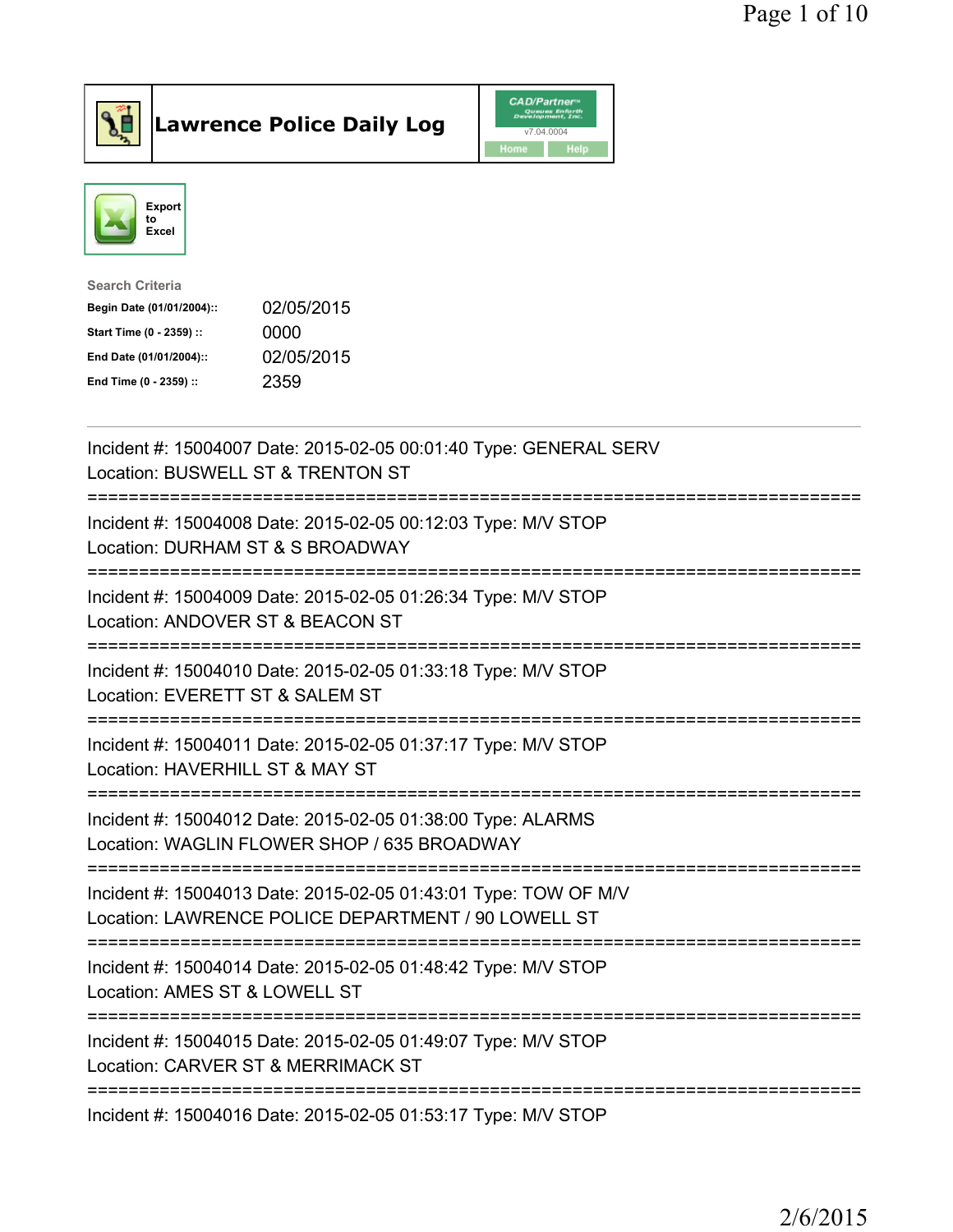



| <b>Search Criteria</b>    |            |
|---------------------------|------------|
| Begin Date (01/01/2004):: | 02/05/2015 |
| Start Time (0 - 2359) ::  | 0000       |
| End Date (01/01/2004)::   | 02/05/2015 |
| End Time (0 - 2359) ::    | 2359       |

| Incident #: 15004007 Date: 2015-02-05 00:01:40 Type: GENERAL SERV<br>Location: BUSWELL ST & TRENTON ST                                             |
|----------------------------------------------------------------------------------------------------------------------------------------------------|
| Incident #: 15004008 Date: 2015-02-05 00:12:03 Type: M/V STOP<br>Location: DURHAM ST & S BROADWAY<br>========================                      |
| Incident #: 15004009 Date: 2015-02-05 01:26:34 Type: M/V STOP<br>Location: ANDOVER ST & BEACON ST<br>=======================                       |
| Incident #: 15004010 Date: 2015-02-05 01:33:18 Type: M/V STOP<br>Location: EVERETT ST & SALEM ST<br>=========================                      |
| Incident #: 15004011 Date: 2015-02-05 01:37:17 Type: M/V STOP<br>Location: HAVERHILL ST & MAY ST<br>------------------<br>======================== |
| Incident #: 15004012 Date: 2015-02-05 01:38:00 Type: ALARMS<br>Location: WAGLIN FLOWER SHOP / 635 BROADWAY<br>;================================    |
| Incident #: 15004013 Date: 2015-02-05 01:43:01 Type: TOW OF M/V<br>Location: LAWRENCE POLICE DEPARTMENT / 90 LOWELL ST                             |
| Incident #: 15004014 Date: 2015-02-05 01:48:42 Type: M/V STOP<br>Location: AMES ST & LOWELL ST                                                     |
| Incident #: 15004015 Date: 2015-02-05 01:49:07 Type: M/V STOP<br>Location: CARVER ST & MERRIMACK ST                                                |
| :============================<br>Incident #: 15004016 Date: 2015-02-05 01:53:17 Type: M/V STOP                                                     |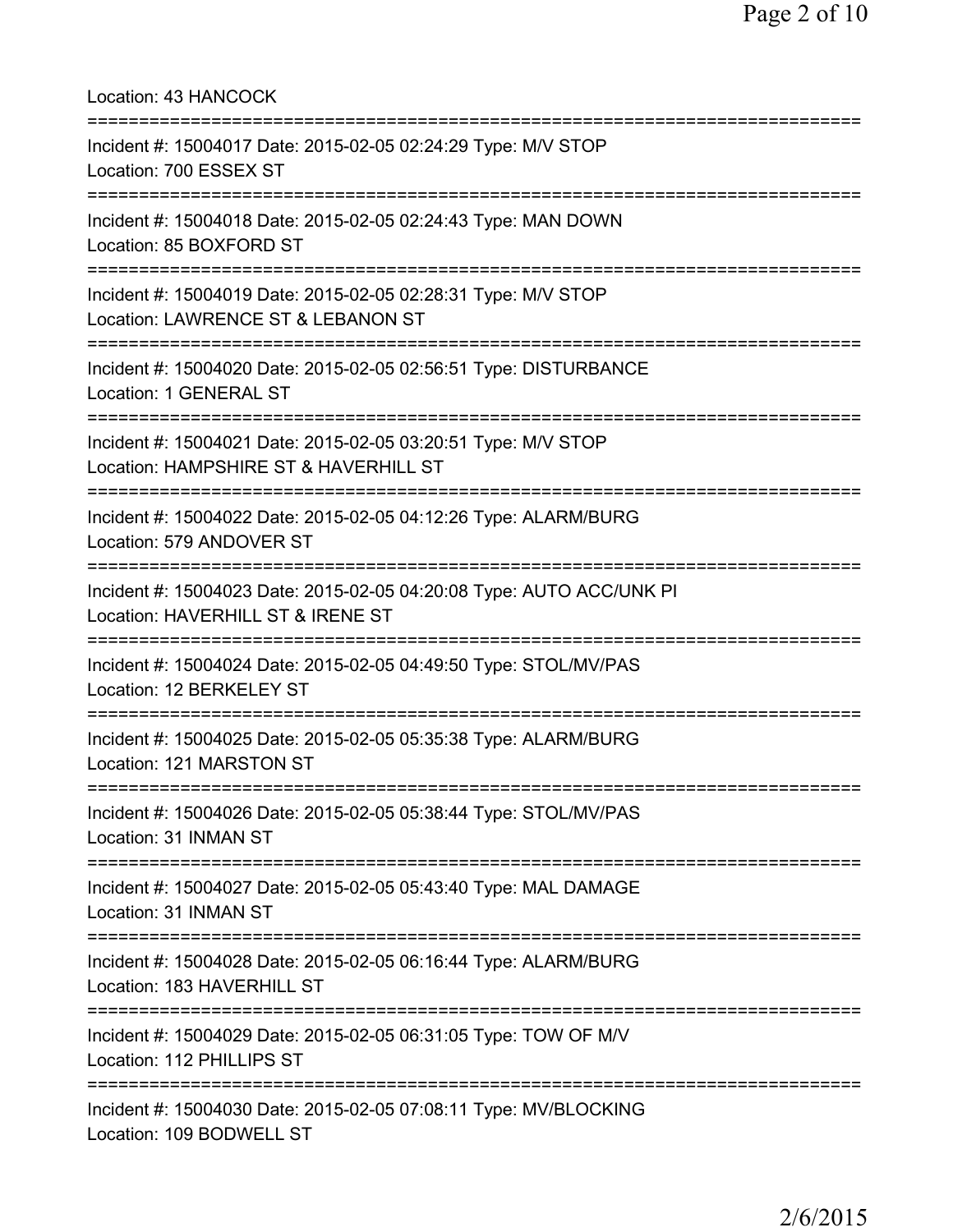Location: 43 HANCOCK =========================================================================== Incident #: 15004017 Date: 2015-02-05 02:24:29 Type: M/V STOP Location: 700 ESSEX ST =========================================================================== Incident #: 15004018 Date: 2015-02-05 02:24:43 Type: MAN DOWN Location: 85 BOXFORD ST =========================================================================== Incident #: 15004019 Date: 2015-02-05 02:28:31 Type: M/V STOP Location: LAWRENCE ST & LEBANON ST =========================================================================== Incident #: 15004020 Date: 2015-02-05 02:56:51 Type: DISTURBANCE Location: 1 GENERAL ST =========================================================================== Incident #: 15004021 Date: 2015-02-05 03:20:51 Type: M/V STOP Location: HAMPSHIRE ST & HAVERHILL ST =========================================================================== Incident #: 15004022 Date: 2015-02-05 04:12:26 Type: ALARM/BURG Location: 579 ANDOVER ST =========================================================================== Incident #: 15004023 Date: 2015-02-05 04:20:08 Type: AUTO ACC/UNK PI Location: HAVERHILL ST & IRENE ST =========================================================================== Incident #: 15004024 Date: 2015-02-05 04:49:50 Type: STOL/MV/PAS Location: 12 BERKELEY ST =========================================================================== Incident #: 15004025 Date: 2015-02-05 05:35:38 Type: ALARM/BURG Location: 121 MARSTON ST =========================================================================== Incident #: 15004026 Date: 2015-02-05 05:38:44 Type: STOL/MV/PAS Location: 31 INMAN ST =========================================================================== Incident #: 15004027 Date: 2015-02-05 05:43:40 Type: MAL DAMAGE Location: 31 INMAN ST =========================================================================== Incident #: 15004028 Date: 2015-02-05 06:16:44 Type: ALARM/BURG Location: 183 HAVERHILL ST =========================================================================== Incident #: 15004029 Date: 2015-02-05 06:31:05 Type: TOW OF M/V Location: 112 PHILLIPS ST =========================================================================== Incident #: 15004030 Date: 2015-02-05 07:08:11 Type: MV/BLOCKING Location: 109 BODWELL ST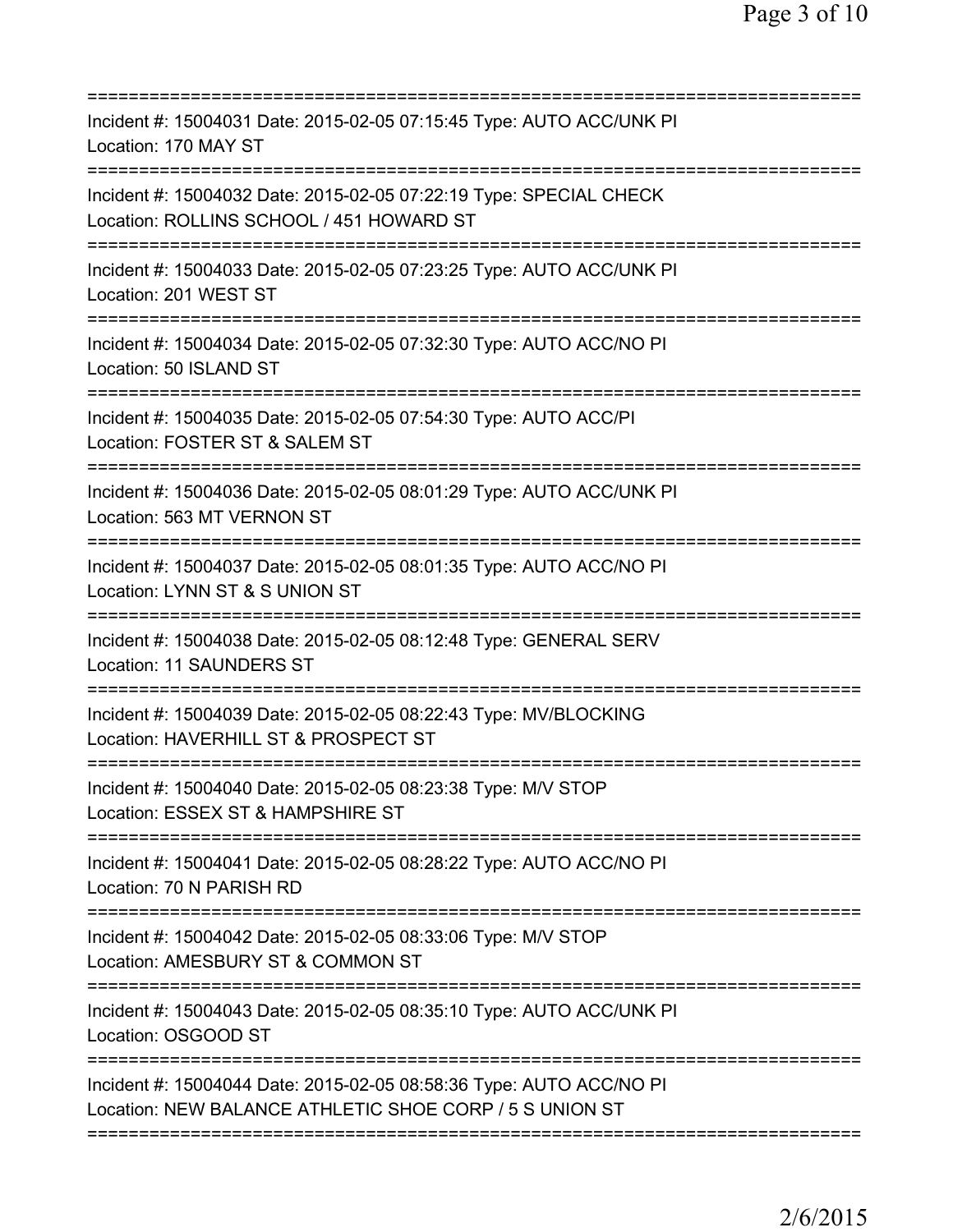| Incident #: 15004031 Date: 2015-02-05 07:15:45 Type: AUTO ACC/UNK PI<br>Location: 170 MAY ST                                                   |
|------------------------------------------------------------------------------------------------------------------------------------------------|
| Incident #: 15004032 Date: 2015-02-05 07:22:19 Type: SPECIAL CHECK<br>Location: ROLLINS SCHOOL / 451 HOWARD ST<br>============================ |
| Incident #: 15004033 Date: 2015-02-05 07:23:25 Type: AUTO ACC/UNK PI<br>Location: 201 WEST ST                                                  |
| Incident #: 15004034 Date: 2015-02-05 07:32:30 Type: AUTO ACC/NO PI<br>Location: 50 ISLAND ST                                                  |
| Incident #: 15004035 Date: 2015-02-05 07:54:30 Type: AUTO ACC/PI<br>Location: FOSTER ST & SALEM ST                                             |
| Incident #: 15004036 Date: 2015-02-05 08:01:29 Type: AUTO ACC/UNK PI<br>Location: 563 MT VERNON ST                                             |
| Incident #: 15004037 Date: 2015-02-05 08:01:35 Type: AUTO ACC/NO PI<br>Location: LYNN ST & S UNION ST                                          |
| Incident #: 15004038 Date: 2015-02-05 08:12:48 Type: GENERAL SERV<br>Location: 11 SAUNDERS ST                                                  |
| Incident #: 15004039 Date: 2015-02-05 08:22:43 Type: MV/BLOCKING<br>Location: HAVERHILL ST & PROSPECT ST                                       |
| Incident #: 15004040 Date: 2015-02-05 08:23:38 Type: M/V STOP<br>Location: ESSEX ST & HAMPSHIRE ST                                             |
| ;=====================================<br>Incident #: 15004041 Date: 2015-02-05 08:28:22 Type: AUTO ACC/NO PI<br>Location: 70 N PARISH RD      |
| Incident #: 15004042 Date: 2015-02-05 08:33:06 Type: M/V STOP<br>Location: AMESBURY ST & COMMON ST                                             |
| Incident #: 15004043 Date: 2015-02-05 08:35:10 Type: AUTO ACC/UNK PI<br>Location: OSGOOD ST                                                    |
| Incident #: 15004044 Date: 2015-02-05 08:58:36 Type: AUTO ACC/NO PI<br>Location: NEW BALANCE ATHLETIC SHOE CORP / 5 S UNION ST                 |
|                                                                                                                                                |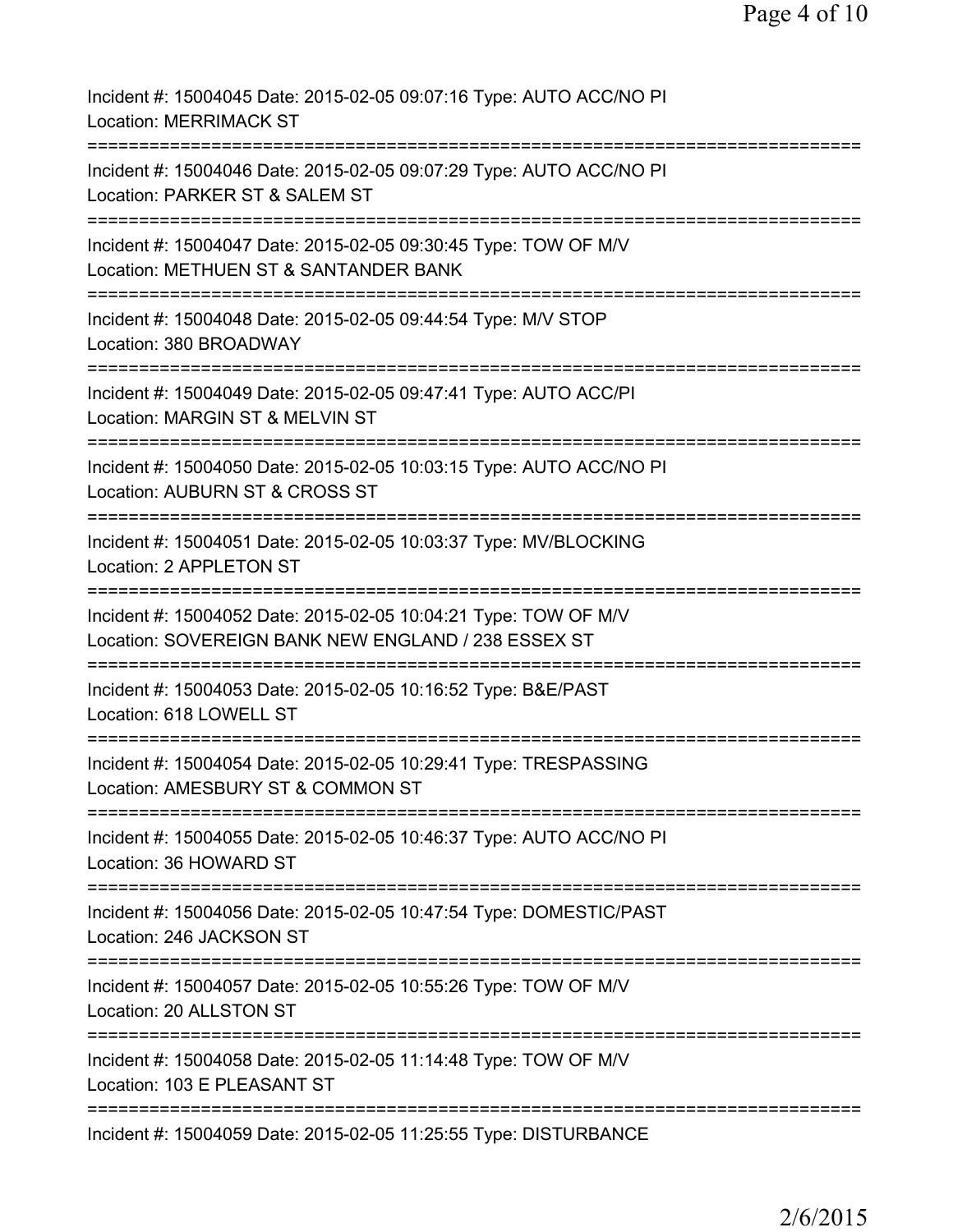| Incident #: 15004045 Date: 2015-02-05 09:07:16 Type: AUTO ACC/NO PI<br><b>Location: MERRIMACK ST</b>                                 |
|--------------------------------------------------------------------------------------------------------------------------------------|
| Incident #: 15004046 Date: 2015-02-05 09:07:29 Type: AUTO ACC/NO PI<br>Location: PARKER ST & SALEM ST                                |
| Incident #: 15004047 Date: 2015-02-05 09:30:45 Type: TOW OF M/V<br>Location: METHUEN ST & SANTANDER BANK                             |
| Incident #: 15004048 Date: 2015-02-05 09:44:54 Type: M/V STOP<br>Location: 380 BROADWAY                                              |
| Incident #: 15004049 Date: 2015-02-05 09:47:41 Type: AUTO ACC/PI<br>Location: MARGIN ST & MELVIN ST                                  |
| Incident #: 15004050 Date: 2015-02-05 10:03:15 Type: AUTO ACC/NO PI<br>Location: AUBURN ST & CROSS ST                                |
| Incident #: 15004051 Date: 2015-02-05 10:03:37 Type: MV/BLOCKING<br>Location: 2 APPLETON ST                                          |
| Incident #: 15004052 Date: 2015-02-05 10:04:21 Type: TOW OF M/V<br>Location: SOVEREIGN BANK NEW ENGLAND / 238 ESSEX ST               |
| Incident #: 15004053 Date: 2015-02-05 10:16:52 Type: B&E/PAST<br>Location: 618 LOWELL ST                                             |
| Incident #: 15004054 Date: 2015-02-05 10:29:41 Type: TRESPASSING<br>Location: AMESBURY ST & COMMON ST                                |
| Incident #: 15004055 Date: 2015-02-05 10:46:37 Type: AUTO ACC/NO PI<br>Location: 36 HOWARD ST                                        |
| Incident #: 15004056 Date: 2015-02-05 10:47:54 Type: DOMESTIC/PAST<br>Location: 246 JACKSON ST<br>================================== |
| Incident #: 15004057 Date: 2015-02-05 10:55:26 Type: TOW OF M/V<br>Location: 20 ALLSTON ST                                           |
| Incident #: 15004058 Date: 2015-02-05 11:14:48 Type: TOW OF M/V<br>Location: 103 E PLEASANT ST                                       |
| Incident #: 15004059 Date: 2015-02-05 11:25:55 Type: DISTURBANCE                                                                     |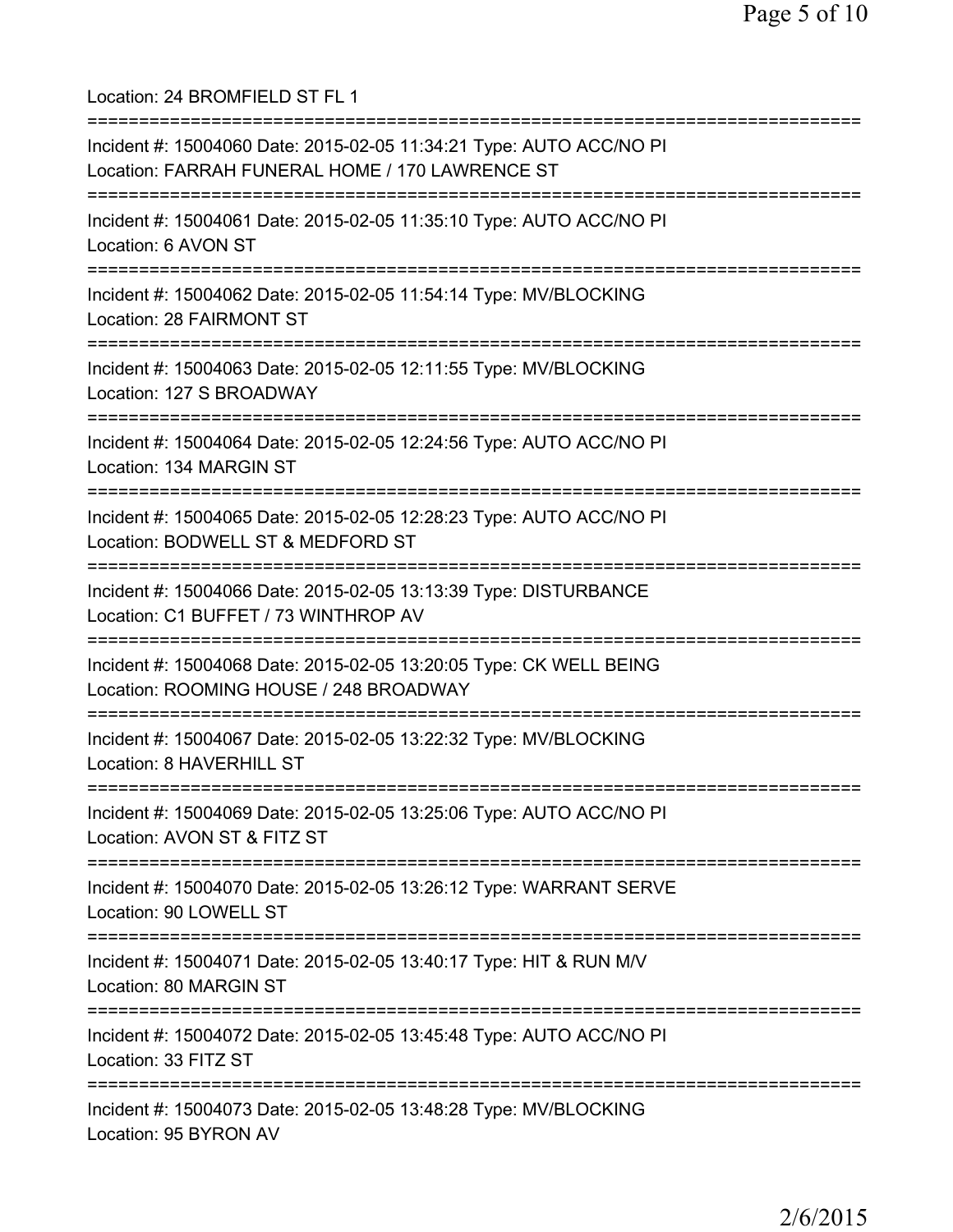Location: 24 BROMFIELD ST FL 1 =========================================================================== Incident #: 15004060 Date: 2015-02-05 11:34:21 Type: AUTO ACC/NO PI Location: FARRAH FUNERAL HOME / 170 LAWRENCE ST =========================================================================== Incident #: 15004061 Date: 2015-02-05 11:35:10 Type: AUTO ACC/NO PI Location: 6 AVON ST =========================================================================== Incident #: 15004062 Date: 2015-02-05 11:54:14 Type: MV/BLOCKING Location: 28 FAIRMONT ST =========================================================================== Incident #: 15004063 Date: 2015-02-05 12:11:55 Type: MV/BLOCKING Location: 127 S BROADWAY =========================================================================== Incident #: 15004064 Date: 2015-02-05 12:24:56 Type: AUTO ACC/NO PI Location: 134 MARGIN ST =========================================================================== Incident #: 15004065 Date: 2015-02-05 12:28:23 Type: AUTO ACC/NO PI Location: BODWELL ST & MEDFORD ST =========================================================================== Incident #: 15004066 Date: 2015-02-05 13:13:39 Type: DISTURBANCE Location: C1 BUFFET / 73 WINTHROP AV =========================================================================== Incident #: 15004068 Date: 2015-02-05 13:20:05 Type: CK WELL BEING Location: ROOMING HOUSE / 248 BROADWAY =========================================================================== Incident #: 15004067 Date: 2015-02-05 13:22:32 Type: MV/BLOCKING Location: 8 HAVERHILL ST =========================================================================== Incident #: 15004069 Date: 2015-02-05 13:25:06 Type: AUTO ACC/NO PI Location: AVON ST & FITZ ST =========================================================================== Incident #: 15004070 Date: 2015-02-05 13:26:12 Type: WARRANT SERVE Location: 90 LOWELL ST =========================================================================== Incident #: 15004071 Date: 2015-02-05 13:40:17 Type: HIT & RUN M/V Location: 80 MARGIN ST =========================================================================== Incident #: 15004072 Date: 2015-02-05 13:45:48 Type: AUTO ACC/NO PI Location: 33 FITZ ST =========================================================================== Incident #: 15004073 Date: 2015-02-05 13:48:28 Type: MV/BLOCKING Location: 95 BYRON AV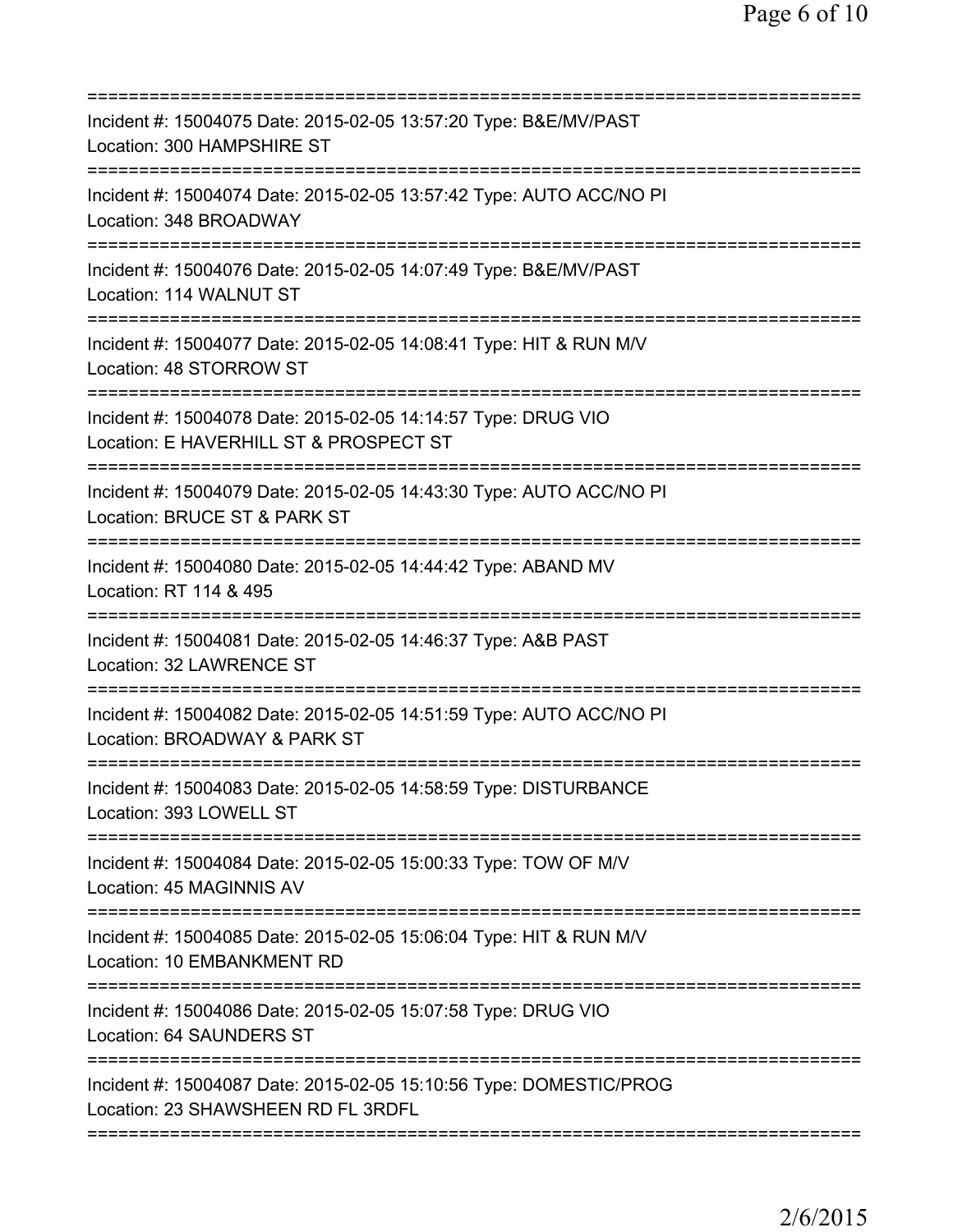| Incident #: 15004075 Date: 2015-02-05 13:57:20 Type: B&E/MV/PAST<br>Location: 300 HAMPSHIRE ST                            |
|---------------------------------------------------------------------------------------------------------------------------|
| Incident #: 15004074 Date: 2015-02-05 13:57:42 Type: AUTO ACC/NO PI<br>Location: 348 BROADWAY                             |
| Incident #: 15004076 Date: 2015-02-05 14:07:49 Type: B&E/MV/PAST<br>Location: 114 WALNUT ST                               |
| Incident #: 15004077 Date: 2015-02-05 14:08:41 Type: HIT & RUN M/V<br>Location: 48 STORROW ST                             |
| Incident #: 15004078 Date: 2015-02-05 14:14:57 Type: DRUG VIO<br>Location: E HAVERHILL ST & PROSPECT ST                   |
| Incident #: 15004079 Date: 2015-02-05 14:43:30 Type: AUTO ACC/NO PI<br>Location: BRUCE ST & PARK ST                       |
| Incident #: 15004080 Date: 2015-02-05 14:44:42 Type: ABAND MV<br>Location: RT 114 & 495                                   |
| Incident #: 15004081 Date: 2015-02-05 14:46:37 Type: A&B PAST<br>Location: 32 LAWRENCE ST                                 |
| Incident #: 15004082 Date: 2015-02-05 14:51:59 Type: AUTO ACC/NO PI<br>Location: BROADWAY & PARK ST                       |
| Incident #: 15004083 Date: 2015-02-05 14:58:59 Type: DISTURBANCE<br>Location: 393 LOWELL ST                               |
| ==========================<br>Incident #: 15004084 Date: 2015-02-05 15:00:33 Type: TOW OF M/V<br>Location: 45 MAGINNIS AV |
| Incident #: 15004085 Date: 2015-02-05 15:06:04 Type: HIT & RUN M/V<br>Location: 10 EMBANKMENT RD                          |
| Incident #: 15004086 Date: 2015-02-05 15:07:58 Type: DRUG VIO<br>Location: 64 SAUNDERS ST                                 |
| Incident #: 15004087 Date: 2015-02-05 15:10:56 Type: DOMESTIC/PROG<br>Location: 23 SHAWSHEEN RD FL 3RDFL                  |
|                                                                                                                           |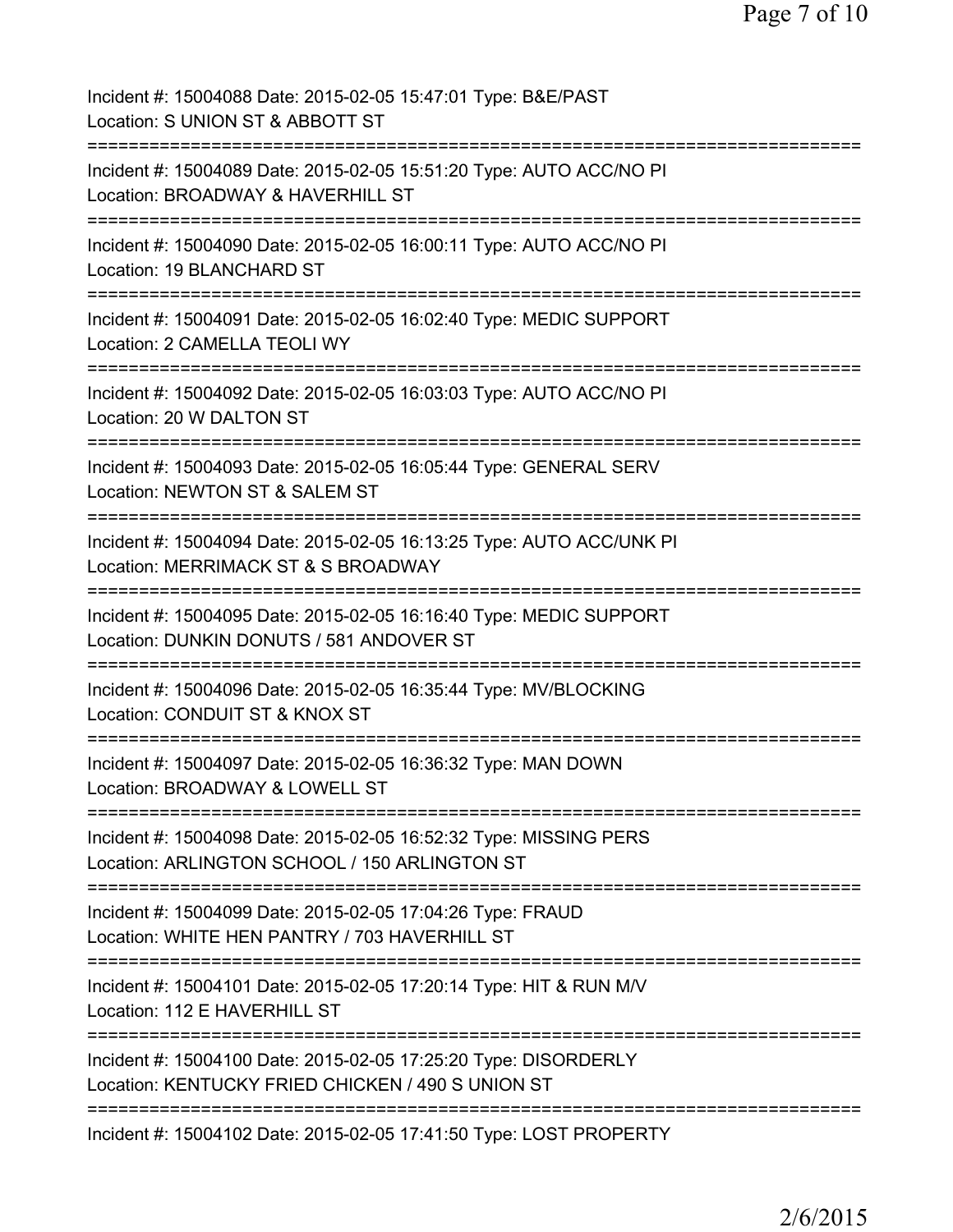| Incident #: 15004088 Date: 2015-02-05 15:47:01 Type: B&E/PAST<br>Location: S UNION ST & ABBOTT ST                    |
|----------------------------------------------------------------------------------------------------------------------|
| Incident #: 15004089 Date: 2015-02-05 15:51:20 Type: AUTO ACC/NO PI<br>Location: BROADWAY & HAVERHILL ST             |
| Incident #: 15004090 Date: 2015-02-05 16:00:11 Type: AUTO ACC/NO PI<br>Location: 19 BLANCHARD ST                     |
| Incident #: 15004091 Date: 2015-02-05 16:02:40 Type: MEDIC SUPPORT<br>Location: 2 CAMELLA TEOLI WY                   |
| Incident #: 15004092 Date: 2015-02-05 16:03:03 Type: AUTO ACC/NO PI<br>Location: 20 W DALTON ST                      |
| Incident #: 15004093 Date: 2015-02-05 16:05:44 Type: GENERAL SERV<br>Location: NEWTON ST & SALEM ST                  |
| Incident #: 15004094 Date: 2015-02-05 16:13:25 Type: AUTO ACC/UNK PI<br>Location: MERRIMACK ST & S BROADWAY          |
| Incident #: 15004095 Date: 2015-02-05 16:16:40 Type: MEDIC SUPPORT<br>Location: DUNKIN DONUTS / 581 ANDOVER ST       |
| Incident #: 15004096 Date: 2015-02-05 16:35:44 Type: MV/BLOCKING<br>Location: CONDUIT ST & KNOX ST                   |
| Incident #: 15004097 Date: 2015-02-05 16:36:32 Type: MAN DOWN<br>Location: BROADWAY & LOWELL ST                      |
| Incident #: 15004098 Date: 2015-02-05 16:52:32 Type: MISSING PERS<br>Location: ARLINGTON SCHOOL / 150 ARLINGTON ST   |
| Incident #: 15004099 Date: 2015-02-05 17:04:26 Type: FRAUD<br>Location: WHITE HEN PANTRY / 703 HAVERHILL ST          |
| Incident #: 15004101 Date: 2015-02-05 17:20:14 Type: HIT & RUN M/V<br>Location: 112 E HAVERHILL ST                   |
| Incident #: 15004100 Date: 2015-02-05 17:25:20 Type: DISORDERLY<br>Location: KENTUCKY FRIED CHICKEN / 490 S UNION ST |
| Incident #: 15004102 Date: 2015-02-05 17:41:50 Type: LOST PROPERTY                                                   |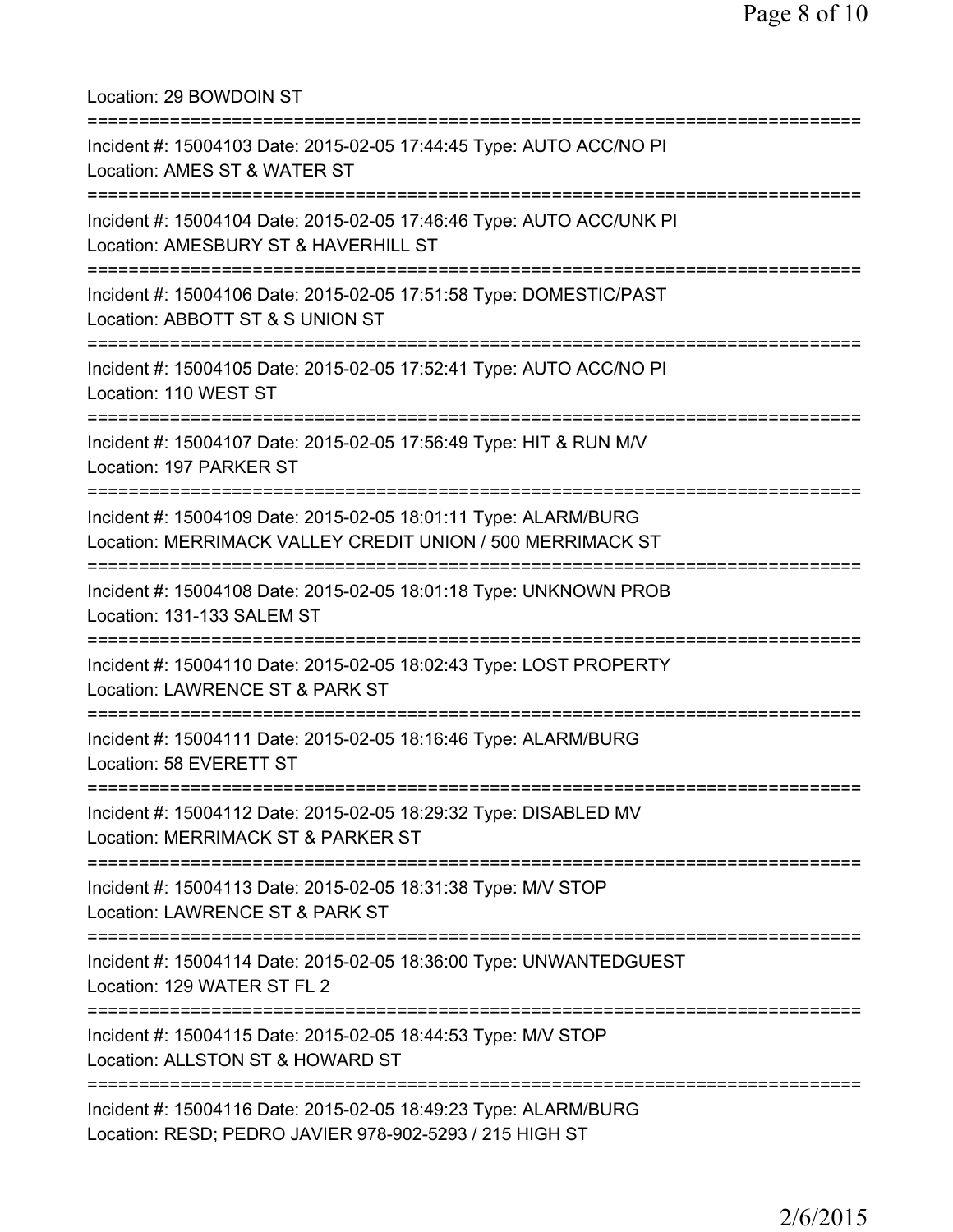| Location: 29 BOWDOIN ST<br>=====================================                                                                               |
|------------------------------------------------------------------------------------------------------------------------------------------------|
| Incident #: 15004103 Date: 2015-02-05 17:44:45 Type: AUTO ACC/NO PI<br>Location: AMES ST & WATER ST                                            |
| Incident #: 15004104 Date: 2015-02-05 17:46:46 Type: AUTO ACC/UNK PI<br>Location: AMESBURY ST & HAVERHILL ST                                   |
| Incident #: 15004106 Date: 2015-02-05 17:51:58 Type: DOMESTIC/PAST<br>Location: ABBOTT ST & S UNION ST<br>=======================              |
| Incident #: 15004105 Date: 2015-02-05 17:52:41 Type: AUTO ACC/NO PI<br>Location: 110 WEST ST                                                   |
| Incident #: 15004107 Date: 2015-02-05 17:56:49 Type: HIT & RUN M/V<br>Location: 197 PARKER ST                                                  |
| Incident #: 15004109 Date: 2015-02-05 18:01:11 Type: ALARM/BURG<br>Location: MERRIMACK VALLEY CREDIT UNION / 500 MERRIMACK ST                  |
| Incident #: 15004108 Date: 2015-02-05 18:01:18 Type: UNKNOWN PROB<br>Location: 131-133 SALEM ST                                                |
| Incident #: 15004110 Date: 2015-02-05 18:02:43 Type: LOST PROPERTY<br>Location: LAWRENCE ST & PARK ST                                          |
| Incident #: 15004111 Date: 2015-02-05 18:16:46 Type: ALARM/BURG<br>Location: 58 EVERETT ST                                                     |
| ====================================<br>Incident #: 15004112 Date: 2015-02-05 18:29:32 Type: DISABLED MV<br>Location: MERRIMACK ST & PARKER ST |
| Incident #: 15004113 Date: 2015-02-05 18:31:38 Type: M/V STOP<br>Location: LAWRENCE ST & PARK ST                                               |
| Incident #: 15004114 Date: 2015-02-05 18:36:00 Type: UNWANTEDGUEST<br>Location: 129 WATER ST FL 2                                              |
| Incident #: 15004115 Date: 2015-02-05 18:44:53 Type: M/V STOP<br>Location: ALLSTON ST & HOWARD ST                                              |
| Incident #: 15004116 Date: 2015-02-05 18:49:23 Type: ALARM/BURG<br>Location: RESD; PEDRO JAVIER 978-902-5293 / 215 HIGH ST                     |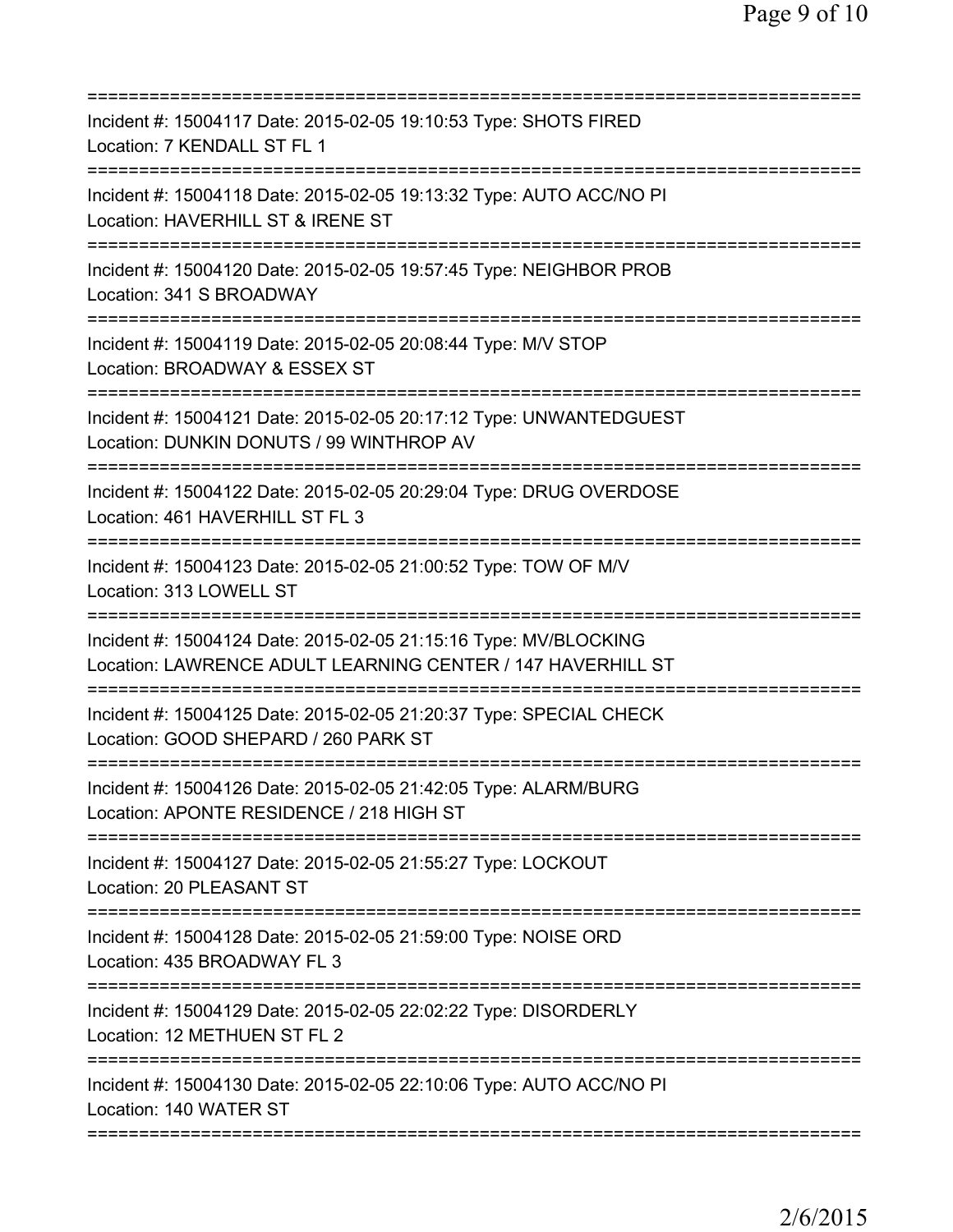| Incident #: 15004117 Date: 2015-02-05 19:10:53 Type: SHOTS FIRED<br>Location: 7 KENDALL ST FL 1                                              |
|----------------------------------------------------------------------------------------------------------------------------------------------|
| Incident #: 15004118 Date: 2015-02-05 19:13:32 Type: AUTO ACC/NO PI<br>Location: HAVERHILL ST & IRENE ST                                     |
| Incident #: 15004120 Date: 2015-02-05 19:57:45 Type: NEIGHBOR PROB<br>Location: 341 S BROADWAY                                               |
| Incident #: 15004119 Date: 2015-02-05 20:08:44 Type: M/V STOP<br>Location: BROADWAY & ESSEX ST                                               |
| Incident #: 15004121 Date: 2015-02-05 20:17:12 Type: UNWANTEDGUEST<br>Location: DUNKIN DONUTS / 99 WINTHROP AV                               |
| ===================================<br>Incident #: 15004122 Date: 2015-02-05 20:29:04 Type: DRUG OVERDOSE<br>Location: 461 HAVERHILL ST FL 3 |
| Incident #: 15004123 Date: 2015-02-05 21:00:52 Type: TOW OF M/V<br>Location: 313 LOWELL ST<br>========================                       |
| Incident #: 15004124 Date: 2015-02-05 21:15:16 Type: MV/BLOCKING<br>Location: LAWRENCE ADULT LEARNING CENTER / 147 HAVERHILL ST              |
| Incident #: 15004125 Date: 2015-02-05 21:20:37 Type: SPECIAL CHECK<br>Location: GOOD SHEPARD / 260 PARK ST                                   |
| Incident #: 15004126 Date: 2015-02-05 21:42:05 Type: ALARM/BURG<br>Location: APONTE RESIDENCE / 218 HIGH ST                                  |
| Incident #: 15004127 Date: 2015-02-05 21:55:27 Type: LOCKOUT<br>Location: 20 PLEASANT ST                                                     |
| Incident #: 15004128 Date: 2015-02-05 21:59:00 Type: NOISE ORD<br>Location: 435 BROADWAY FL 3                                                |
| Incident #: 15004129 Date: 2015-02-05 22:02:22 Type: DISORDERLY<br>Location: 12 METHUEN ST FL 2                                              |
| Incident #: 15004130 Date: 2015-02-05 22:10:06 Type: AUTO ACC/NO PI<br>Location: 140 WATER ST                                                |
|                                                                                                                                              |